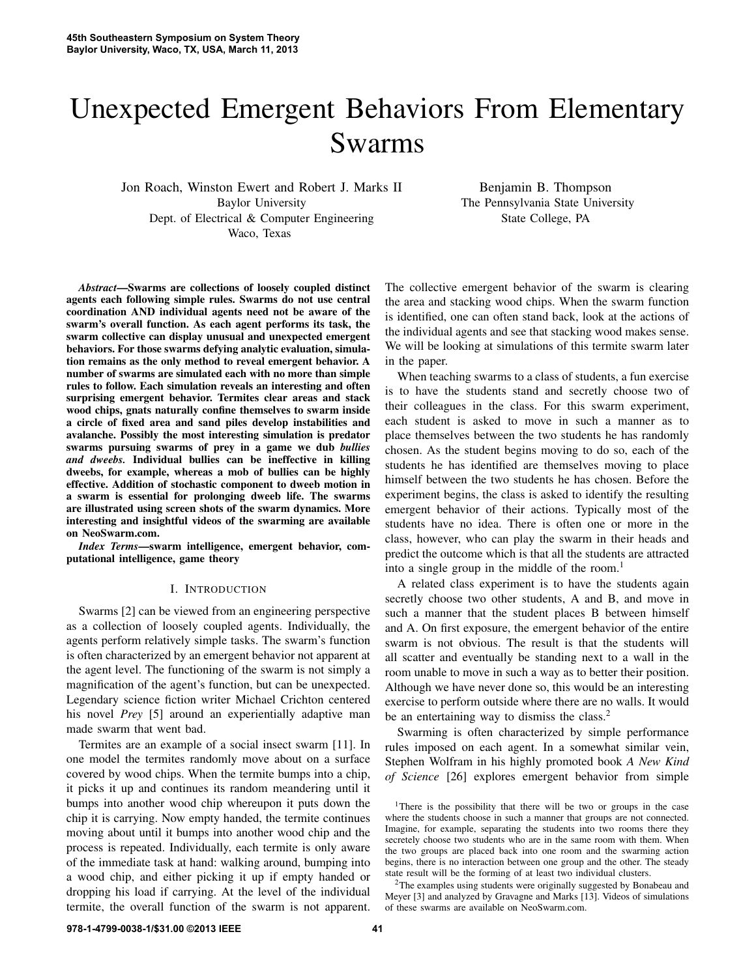# Unexpected Emergent Behaviors From Elementary Swarms

Jon Roach, Winston Ewert and Robert J. Marks II Baylor University Dept. of Electrical & Computer Engineering Waco, Texas

Benjamin B. Thompson The Pennsylvania State University State College, PA

*Abstract*—Swarms are collections of loosely coupled distinct agents each following simple rules. Swarms do not use central coordination AND individual agents need not be aware of the swarm's overall function. As each agent performs its task, the swarm collective can display unusual and unexpected emergent behaviors. For those swarms defying analytic evaluation, simulation remains as the only method to reveal emergent behavior. A number of swarms are simulated each with no more than simple rules to follow. Each simulation reveals an interesting and often surprising emergent behavior. Termites clear areas and stack wood chips, gnats naturally confine themselves to swarm inside a circle of fixed area and sand piles develop instabilities and avalanche. Possibly the most interesting simulation is predator swarms pursuing swarms of prey in a game we dub *bullies and dweebs.* Individual bullies can be ineffective in killing dweebs, for example, whereas a mob of bullies can be highly effective. Addition of stochastic component to dweeb motion in a swarm is essential for prolonging dweeb life. The swarms are illustrated using screen shots of the swarm dynamics. More interesting and insightful videos of the swarming are available on NeoSwarm.com.

*Index Terms*—swarm intelligence, emergent behavior, computational intelligence, game theory

#### I. INTRODUCTION

Swarms [2] can be viewed from an engineering perspective as a collection of loosely coupled agents. Individually, the agents perform relatively simple tasks. The swarm's function is often characterized by an emergent behavior not apparent at the agent level. The functioning of the swarm is not simply a magnification of the agent's function, but can be unexpected. Legendary science fiction writer Michael Crichton centered his novel *Prey* [5] around an experientially adaptive man made swarm that went bad.

Termites are an example of a social insect swarm [11]. In one model the termites randomly move about on a surface covered by wood chips. When the termite bumps into a chip, it picks it up and continues its random meandering until it bumps into another wood chip whereupon it puts down the chip it is carrying. Now empty handed, the termite continues moving about until it bumps into another wood chip and the process is repeated. Individually, each termite is only aware of the immediate task at hand: walking around, bumping into a wood chip, and either picking it up if empty handed or dropping his load if carrying. At the level of the individual termite, the overall function of the swarm is not apparent.

The collective emergent behavior of the swarm is clearing the area and stacking wood chips. When the swarm function is identified, one can often stand back, look at the actions of the individual agents and see that stacking wood makes sense. We will be looking at simulations of this termite swarm later in the paper.

When teaching swarms to a class of students, a fun exercise is to have the students stand and secretly choose two of their colleagues in the class. For this swarm experiment, each student is asked to move in such a manner as to place themselves between the two students he has randomly chosen. As the student begins moving to do so, each of the students he has identified are themselves moving to place himself between the two students he has chosen. Before the experiment begins, the class is asked to identify the resulting emergent behavior of their actions. Typically most of the students have no idea. There is often one or more in the class, however, who can play the swarm in their heads and predict the outcome which is that all the students are attracted into a single group in the middle of the room.<sup>1</sup>

A related class experiment is to have the students again secretly choose two other students, A and B, and move in such a manner that the student places B between himself and A. On first exposure, the emergent behavior of the entire swarm is not obvious. The result is that the students will all scatter and eventually be standing next to a wall in the room unable to move in such a way as to better their position. Although we have never done so, this would be an interesting exercise to perform outside where there are no walls. It would be an entertaining way to dismiss the class.<sup>2</sup>

Swarming is often characterized by simple performance rules imposed on each agent. In a somewhat similar vein, Stephen Wolfram in his highly promoted book *A New Kind of Science* [26] explores emergent behavior from simple

<sup>&</sup>lt;sup>1</sup>There is the possibility that there will be two or groups in the case where the students choose in such a manner that groups are not connected. Imagine, for example, separating the students into two rooms there they secretely choose two students who are in the same room with them. When the two groups are placed back into one room and the swarming action begins, there is no interaction between one group and the other. The steady state result will be the forming of at least two individual clusters.

<sup>&</sup>lt;sup>2</sup>The examples using students were originally suggested by Bonabeau and Meyer [3] and analyzed by Gravagne and Marks [13]. Videos of simulations of these swarms are available on NeoSwarm.com.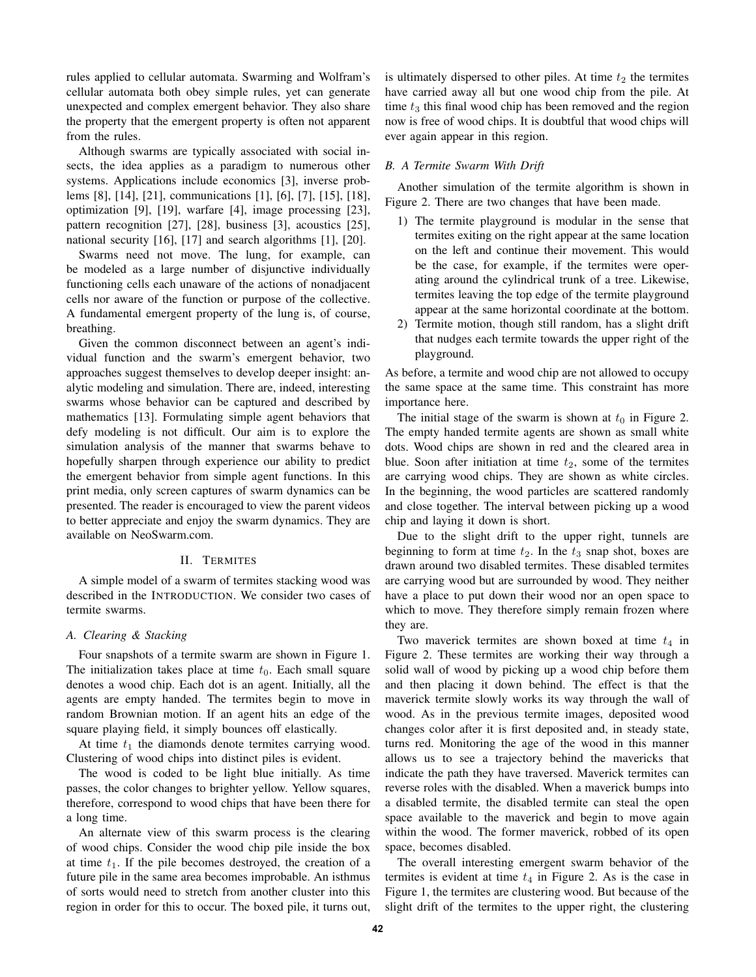rules applied to cellular automata. Swarming and Wolfram's cellular automata both obey simple rules, yet can generate unexpected and complex emergent behavior. They also share the property that the emergent property is often not apparent from the rules.

Although swarms are typically associated with social insects, the idea applies as a paradigm to numerous other systems. Applications include economics [3], inverse problems [8], [14], [21], communications [1], [6], [7], [15], [18], optimization [9], [19], warfare [4], image processing [23], pattern recognition [27], [28], business [3], acoustics [25], national security [16], [17] and search algorithms [1], [20].

Swarms need not move. The lung, for example, can be modeled as a large number of disjunctive individually functioning cells each unaware of the actions of nonadjacent cells nor aware of the function or purpose of the collective. A fundamental emergent property of the lung is, of course, breathing.

Given the common disconnect between an agent's individual function and the swarm's emergent behavior, two approaches suggest themselves to develop deeper insight: analytic modeling and simulation. There are, indeed, interesting swarms whose behavior can be captured and described by mathematics [13]. Formulating simple agent behaviors that defy modeling is not difficult. Our aim is to explore the simulation analysis of the manner that swarms behave to hopefully sharpen through experience our ability to predict the emergent behavior from simple agent functions. In this print media, only screen captures of swarm dynamics can be presented. The reader is encouraged to view the parent videos to better appreciate and enjoy the swarm dynamics. They are available on NeoSwarm.com.

## II. TERMITES

A simple model of a swarm of termites stacking wood was described in the INTRODUCTION. We consider two cases of termite swarms.

#### *A. Clearing & Stacking*

Four snapshots of a termite swarm are shown in Figure 1. The initialization takes place at time  $t_0$ . Each small square denotes a wood chip. Each dot is an agent. Initially, all the agents are empty handed. The termites begin to move in random Brownian motion. If an agent hits an edge of the square playing field, it simply bounces off elastically.

At time  $t_1$  the diamonds denote termites carrying wood. Clustering of wood chips into distinct piles is evident.

The wood is coded to be light blue initially. As time passes, the color changes to brighter yellow. Yellow squares, therefore, correspond to wood chips that have been there for a long time.

An alternate view of this swarm process is the clearing of wood chips. Consider the wood chip pile inside the box at time  $t_1$ . If the pile becomes destroyed, the creation of a future pile in the same area becomes improbable. An isthmus of sorts would need to stretch from another cluster into this region in order for this to occur. The boxed pile, it turns out,

is ultimately dispersed to other piles. At time  $t_2$  the termites have carried away all but one wood chip from the pile. At time  $t_3$  this final wood chip has been removed and the region now is free of wood chips. It is doubtful that wood chips will ever again appear in this region.

## *B. A Termite Swarm With Drift*

Another simulation of the termite algorithm is shown in Figure 2. There are two changes that have been made.

- 1) The termite playground is modular in the sense that termites exiting on the right appear at the same location on the left and continue their movement. This would be the case, for example, if the termites were operating around the cylindrical trunk of a tree. Likewise, termites leaving the top edge of the termite playground appear at the same horizontal coordinate at the bottom.
- 2) Termite motion, though still random, has a slight drift that nudges each termite towards the upper right of the playground.

As before, a termite and wood chip are not allowed to occupy the same space at the same time. This constraint has more importance here.

The initial stage of the swarm is shown at  $t_0$  in Figure 2. The empty handed termite agents are shown as small white dots. Wood chips are shown in red and the cleared area in blue. Soon after initiation at time  $t_2$ , some of the termites are carrying wood chips. They are shown as white circles. In the beginning, the wood particles are scattered randomly and close together. The interval between picking up a wood chip and laying it down is short.

Due to the slight drift to the upper right, tunnels are beginning to form at time  $t_2$ . In the  $t_3$  snap shot, boxes are drawn around two disabled termites. These disabled termites are carrying wood but are surrounded by wood. They neither have a place to put down their wood nor an open space to which to move. They therefore simply remain frozen where they are.

Two maverick termites are shown boxed at time  $t_4$  in Figure 2. These termites are working their way through a solid wall of wood by picking up a wood chip before them and then placing it down behind. The effect is that the maverick termite slowly works its way through the wall of wood. As in the previous termite images, deposited wood changes color after it is first deposited and, in steady state, turns red. Monitoring the age of the wood in this manner allows us to see a trajectory behind the mavericks that indicate the path they have traversed. Maverick termites can reverse roles with the disabled. When a maverick bumps into a disabled termite, the disabled termite can steal the open space available to the maverick and begin to move again within the wood. The former maverick, robbed of its open space, becomes disabled.

The overall interesting emergent swarm behavior of the termites is evident at time  $t_4$  in Figure 2. As is the case in Figure 1, the termites are clustering wood. But because of the slight drift of the termites to the upper right, the clustering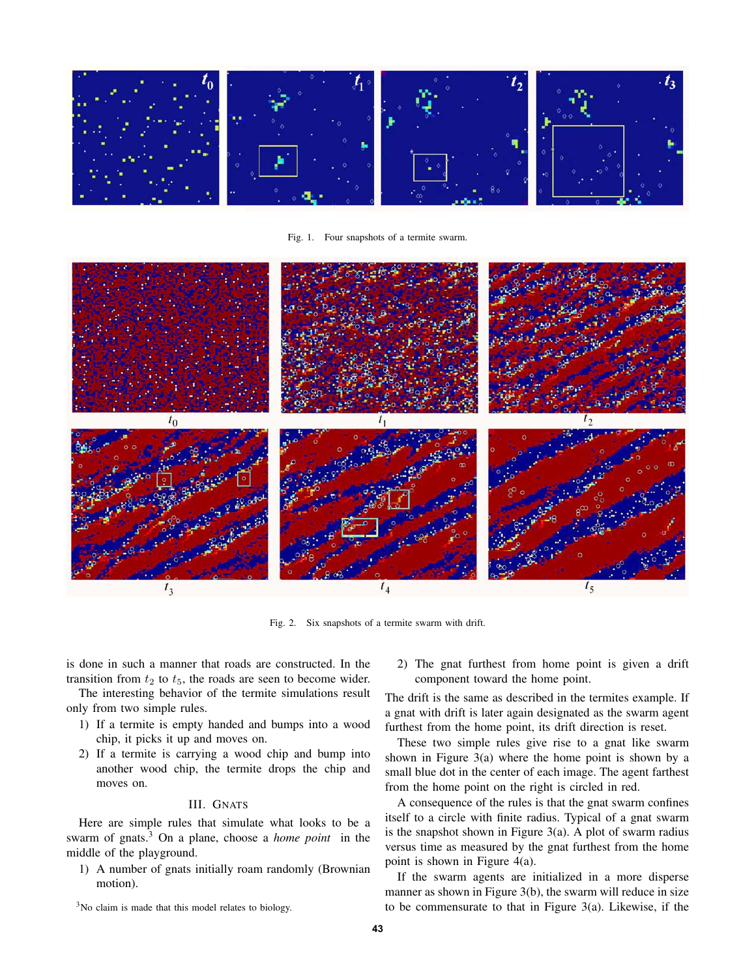

Fig. 1. Four snapshots of a termite swarm.



Fig. 2. Six snapshots of a termite swarm with drift.

is done in such a manner that roads are constructed. In the transition from  $t_2$  to  $t_5$ , the roads are seen to become wider.

The interesting behavior of the termite simulations result only from two simple rules.

- 1) If a termite is empty handed and bumps into a wood chip, it picks it up and moves on.
- 2) If a termite is carrying a wood chip and bump into another wood chip, the termite drops the chip and moves on.

#### III. GNATS

Here are simple rules that simulate what looks to be a swarm of gnats.<sup>3</sup> On a plane, choose a *home point* in the middle of the playground.

1) A number of gnats initially roam randomly (Brownian motion).

<sup>3</sup>No claim is made that this model relates to biology.

2) The gnat furthest from home point is given a drift component toward the home point.

The drift is the same as described in the termites example. If a gnat with drift is later again designated as the swarm agent furthest from the home point, its drift direction is reset.

These two simple rules give rise to a gnat like swarm shown in Figure 3(a) where the home point is shown by a small blue dot in the center of each image. The agent farthest from the home point on the right is circled in red.

A consequence of the rules is that the gnat swarm confines itself to a circle with finite radius. Typical of a gnat swarm is the snapshot shown in Figure  $3(a)$ . A plot of swarm radius versus time as measured by the gnat furthest from the home point is shown in Figure 4(a).

If the swarm agents are initialized in a more disperse manner as shown in Figure 3(b), the swarm will reduce in size to be commensurate to that in Figure 3(a). Likewise, if the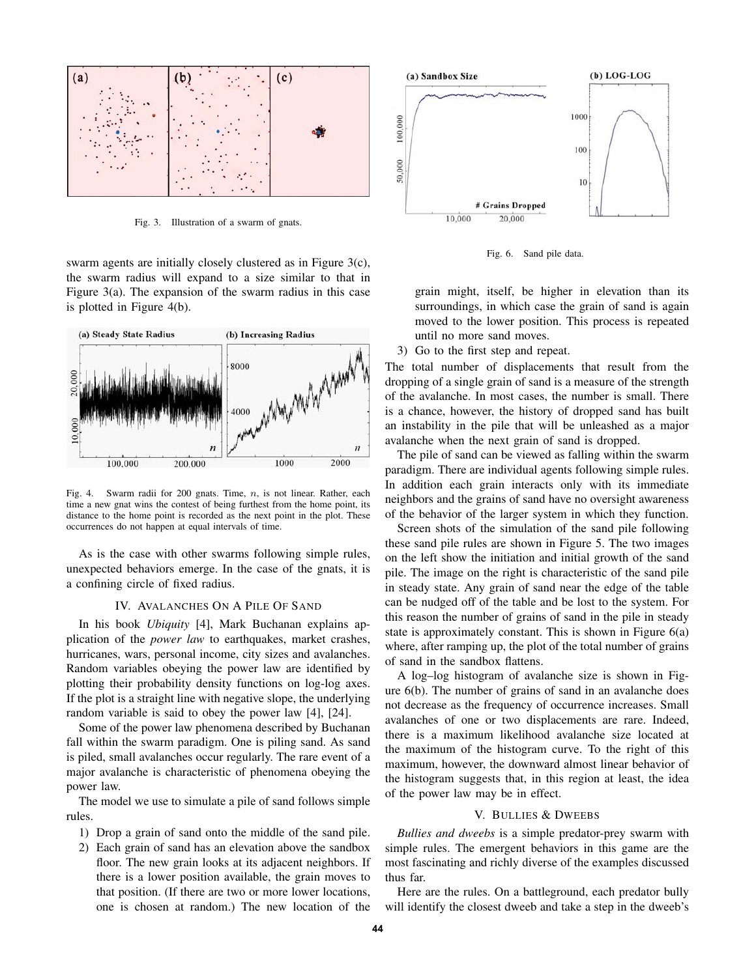

Fig. 3. Illustration of a swarm of gnats.

swarm agents are initially closely clustered as in Figure 3(c), the swarm radius will expand to a size similar to that in Figure 3(a). The expansion of the swarm radius in this case is plotted in Figure 4(b).



Fig. 4. Swarm radii for 200 gnats. Time, n, is not linear. Rather, each time a new gnat wins the contest of being furthest from the home point, its distance to the home point is recorded as the next point in the plot. These occurrences do not happen at equal intervals of time.

As is the case with other swarms following simple rules, unexpected behaviors emerge. In the case of the gnats, it is a confining circle of fixed radius.

#### IV. AVALANCHES ON A PILE OF SAND

In his book *Ubiquity* [4], Mark Buchanan explains application of the *power law* to earthquakes, market crashes, hurricanes, wars, personal income, city sizes and avalanches. Random variables obeying the power law are identified by plotting their probability density functions on log-log axes. If the plot is a straight line with negative slope, the underlying random variable is said to obey the power law [4], [24].

Some of the power law phenomena described by Buchanan fall within the swarm paradigm. One is piling sand. As sand is piled, small avalanches occur regularly. The rare event of a major avalanche is characteristic of phenomena obeying the power law.

The model we use to simulate a pile of sand follows simple rules.

- 1) Drop a grain of sand onto the middle of the sand pile.
- 2) Each grain of sand has an elevation above the sandbox floor. The new grain looks at its adjacent neighbors. If there is a lower position available, the grain moves to that position. (If there are two or more lower locations, one is chosen at random.) The new location of the



Fig. 6. Sand pile data.

grain might, itself, be higher in elevation than its surroundings, in which case the grain of sand is again moved to the lower position. This process is repeated until no more sand moves.

3) Go to the first step and repeat.

The total number of displacements that result from the dropping of a single grain of sand is a measure of the strength of the avalanche. In most cases, the number is small. There is a chance, however, the history of dropped sand has built an instability in the pile that will be unleashed as a major avalanche when the next grain of sand is dropped.

The pile of sand can be viewed as falling within the swarm paradigm. There are individual agents following simple rules. In addition each grain interacts only with its immediate neighbors and the grains of sand have no oversight awareness of the behavior of the larger system in which they function.

Screen shots of the simulation of the sand pile following these sand pile rules are shown in Figure 5. The two images on the left show the initiation and initial growth of the sand pile. The image on the right is characteristic of the sand pile in steady state. Any grain of sand near the edge of the table can be nudged off of the table and be lost to the system. For this reason the number of grains of sand in the pile in steady state is approximately constant. This is shown in Figure 6(a) where, after ramping up, the plot of the total number of grains of sand in the sandbox flattens.

A log–log histogram of avalanche size is shown in Figure 6(b). The number of grains of sand in an avalanche does not decrease as the frequency of occurrence increases. Small avalanches of one or two displacements are rare. Indeed, there is a maximum likelihood avalanche size located at the maximum of the histogram curve. To the right of this maximum, however, the downward almost linear behavior of the histogram suggests that, in this region at least, the idea of the power law may be in effect.

## V. BULLIES & DWEEBS

*Bullies and dweebs* is a simple predator-prey swarm with simple rules. The emergent behaviors in this game are the most fascinating and richly diverse of the examples discussed thus far.

Here are the rules. On a battleground, each predator bully will identify the closest dweeb and take a step in the dweeb's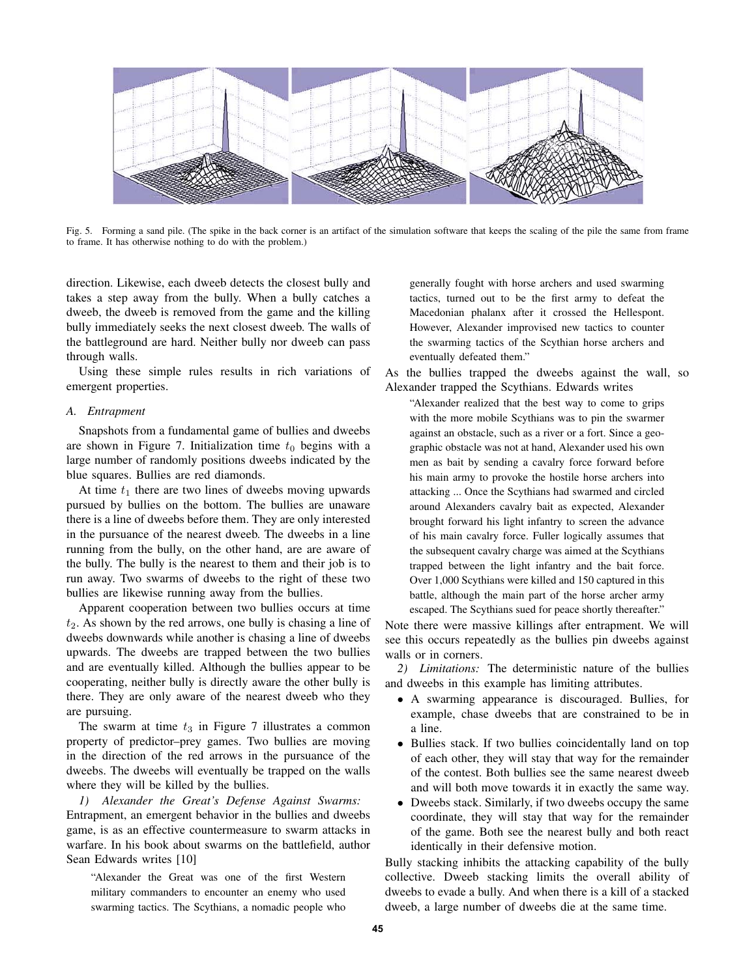

Fig. 5. Forming a sand pile. (The spike in the back corner is an artifact of the simulation software that keeps the scaling of the pile the same from frame to frame. It has otherwise nothing to do with the problem.)

direction. Likewise, each dweeb detects the closest bully and takes a step away from the bully. When a bully catches a dweeb, the dweeb is removed from the game and the killing bully immediately seeks the next closest dweeb. The walls of the battleground are hard. Neither bully nor dweeb can pass through walls.

Using these simple rules results in rich variations of emergent properties.

## *A. Entrapment*

Snapshots from a fundamental game of bullies and dweebs are shown in Figure 7. Initialization time  $t_0$  begins with a large number of randomly positions dweebs indicated by the blue squares. Bullies are red diamonds.

At time  $t_1$  there are two lines of dweebs moving upwards pursued by bullies on the bottom. The bullies are unaware there is a line of dweebs before them. They are only interested in the pursuance of the nearest dweeb. The dweebs in a line running from the bully, on the other hand, are are aware of the bully. The bully is the nearest to them and their job is to run away. Two swarms of dweebs to the right of these two bullies are likewise running away from the bullies.

Apparent cooperation between two bullies occurs at time  $t_2$ . As shown by the red arrows, one bully is chasing a line of dweebs downwards while another is chasing a line of dweebs upwards. The dweebs are trapped between the two bullies and are eventually killed. Although the bullies appear to be cooperating, neither bully is directly aware the other bully is there. They are only aware of the nearest dweeb who they are pursuing.

The swarm at time  $t_3$  in Figure 7 illustrates a common property of predictor–prey games. Two bullies are moving in the direction of the red arrows in the pursuance of the dweebs. The dweebs will eventually be trapped on the walls where they will be killed by the bullies.

*1) Alexander the Great's Defense Against Swarms:* Entrapment, an emergent behavior in the bullies and dweebs game, is as an effective countermeasure to swarm attacks in warfare. In his book about swarms on the battlefield, author Sean Edwards writes [10]

"Alexander the Great was one of the first Western military commanders to encounter an enemy who used swarming tactics. The Scythians, a nomadic people who

generally fought with horse archers and used swarming tactics, turned out to be the first army to defeat the Macedonian phalanx after it crossed the Hellespont. However, Alexander improvised new tactics to counter the swarming tactics of the Scythian horse archers and eventually defeated them."

As the bullies trapped the dweebs against the wall, so Alexander trapped the Scythians. Edwards writes

"Alexander realized that the best way to come to grips with the more mobile Scythians was to pin the swarmer against an obstacle, such as a river or a fort. Since a geographic obstacle was not at hand, Alexander used his own men as bait by sending a cavalry force forward before his main army to provoke the hostile horse archers into attacking ... Once the Scythians had swarmed and circled around Alexanders cavalry bait as expected, Alexander brought forward his light infantry to screen the advance of his main cavalry force. Fuller logically assumes that the subsequent cavalry charge was aimed at the Scythians trapped between the light infantry and the bait force. Over 1,000 Scythians were killed and 150 captured in this battle, although the main part of the horse archer army escaped. The Scythians sued for peace shortly thereafter."

Note there were massive killings after entrapment. We will see this occurs repeatedly as the bullies pin dweebs against walls or in corners.

*2) Limitations:* The deterministic nature of the bullies and dweebs in this example has limiting attributes.

- A swarming appearance is discouraged. Bullies, for example, chase dweebs that are constrained to be in a line.
- Bullies stack. If two bullies coincidentally land on top of each other, they will stay that way for the remainder of the contest. Both bullies see the same nearest dweeb and will both move towards it in exactly the same way.
- Dweebs stack. Similarly, if two dweebs occupy the same coordinate, they will stay that way for the remainder of the game. Both see the nearest bully and both react identically in their defensive motion.

Bully stacking inhibits the attacking capability of the bully collective. Dweeb stacking limits the overall ability of dweebs to evade a bully. And when there is a kill of a stacked dweeb, a large number of dweebs die at the same time.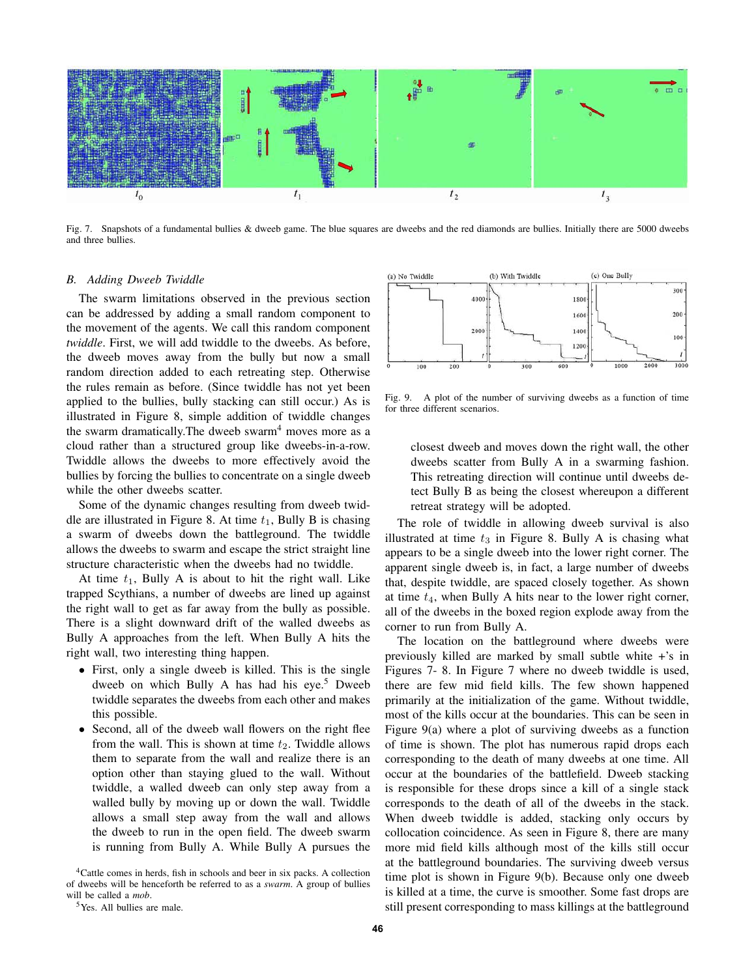

Fig. 7. Snapshots of a fundamental bullies & dweeb game. The blue squares are dweebs and the red diamonds are bullies. Initially there are 5000 dweebs and three bullies.

#### *B. Adding Dweeb Twiddle*

The swarm limitations observed in the previous section can be addressed by adding a small random component to the movement of the agents. We call this random component *twiddle*. First, we will add twiddle to the dweebs. As before, the dweeb moves away from the bully but now a small random direction added to each retreating step. Otherwise the rules remain as before. (Since twiddle has not yet been applied to the bullies, bully stacking can still occur.) As is illustrated in Figure 8, simple addition of twiddle changes the swarm dramatically. The dweeb swarm $4$  moves more as a cloud rather than a structured group like dweebs-in-a-row. Twiddle allows the dweebs to more effectively avoid the bullies by forcing the bullies to concentrate on a single dweeb while the other dweebs scatter.

Some of the dynamic changes resulting from dweeb twiddle are illustrated in Figure 8. At time  $t_1$ , Bully B is chasing a swarm of dweebs down the battleground. The twiddle allows the dweebs to swarm and escape the strict straight line structure characteristic when the dweebs had no twiddle.

At time  $t_1$ , Bully A is about to hit the right wall. Like trapped Scythians, a number of dweebs are lined up against the right wall to get as far away from the bully as possible. There is a slight downward drift of the walled dweebs as Bully A approaches from the left. When Bully A hits the right wall, two interesting thing happen.

- First, only a single dweeb is killed. This is the single dweeb on which Bully A has had his eye.<sup>5</sup> Dweeb twiddle separates the dweebs from each other and makes this possible.
- Second, all of the dweeb wall flowers on the right flee from the wall. This is shown at time  $t_2$ . Twiddle allows them to separate from the wall and realize there is an option other than staying glued to the wall. Without twiddle, a walled dweeb can only step away from a walled bully by moving up or down the wall. Twiddle allows a small step away from the wall and allows the dweeb to run in the open field. The dweeb swarm is running from Bully A. While Bully A pursues the



Fig. 9. A plot of the number of surviving dweebs as a function of time for three different scenarios.

closest dweeb and moves down the right wall, the other dweebs scatter from Bully A in a swarming fashion. This retreating direction will continue until dweebs detect Bully B as being the closest whereupon a different retreat strategy will be adopted.

The role of twiddle in allowing dweeb survival is also illustrated at time  $t_3$  in Figure 8. Bully A is chasing what appears to be a single dweeb into the lower right corner. The apparent single dweeb is, in fact, a large number of dweebs that, despite twiddle, are spaced closely together. As shown at time  $t_4$ , when Bully A hits near to the lower right corner, all of the dweebs in the boxed region explode away from the corner to run from Bully A.

The location on the battleground where dweebs were previously killed are marked by small subtle white +'s in Figures 7- 8. In Figure 7 where no dweeb twiddle is used, there are few mid field kills. The few shown happened primarily at the initialization of the game. Without twiddle, most of the kills occur at the boundaries. This can be seen in Figure 9(a) where a plot of surviving dweebs as a function of time is shown. The plot has numerous rapid drops each corresponding to the death of many dweebs at one time. All occur at the boundaries of the battlefield. Dweeb stacking is responsible for these drops since a kill of a single stack corresponds to the death of all of the dweebs in the stack. When dweeb twiddle is added, stacking only occurs by collocation coincidence. As seen in Figure 8, there are many more mid field kills although most of the kills still occur at the battleground boundaries. The surviving dweeb versus time plot is shown in Figure 9(b). Because only one dweeb is killed at a time, the curve is smoother. Some fast drops are still present corresponding to mass killings at the battleground

<sup>4</sup>Cattle comes in herds, fish in schools and beer in six packs. A collection of dweebs will be henceforth be referred to as a *swarm*. A group of bullies will be called a *mob*.

<sup>5</sup>Yes. All bullies are male.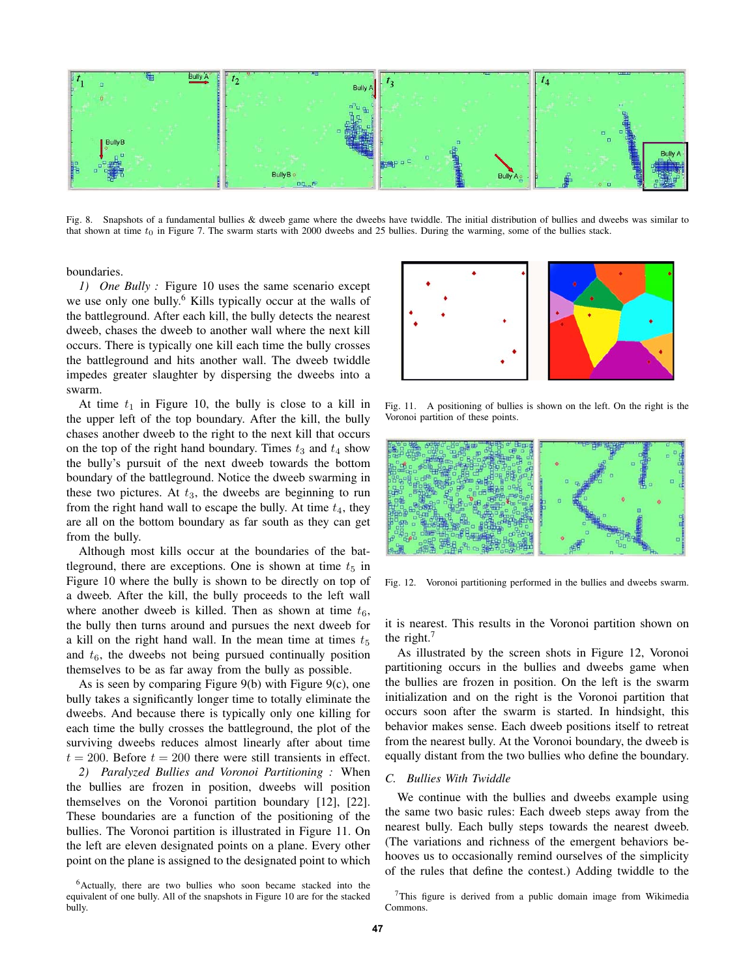

Fig. 8. Snapshots of a fundamental bullies & dweeb game where the dweebs have twiddle. The initial distribution of bullies and dweebs was similar to that shown at time  $t_0$  in Figure 7. The swarm starts with 2000 dweebs and 25 bullies. During the warming, some of the bullies stack.

boundaries.

*1) One Bully :* Figure 10 uses the same scenario except we use only one bully.<sup>6</sup> Kills typically occur at the walls of the battleground. After each kill, the bully detects the nearest dweeb, chases the dweeb to another wall where the next kill occurs. There is typically one kill each time the bully crosses the battleground and hits another wall. The dweeb twiddle impedes greater slaughter by dispersing the dweebs into a swarm.

At time  $t_1$  in Figure 10, the bully is close to a kill in the upper left of the top boundary. After the kill, the bully chases another dweeb to the right to the next kill that occurs on the top of the right hand boundary. Times  $t_3$  and  $t_4$  show the bully's pursuit of the next dweeb towards the bottom boundary of the battleground. Notice the dweeb swarming in these two pictures. At  $t_3$ , the dweebs are beginning to run from the right hand wall to escape the bully. At time  $t_4$ , they are all on the bottom boundary as far south as they can get from the bully.

Although most kills occur at the boundaries of the battleground, there are exceptions. One is shown at time  $t_5$  in Figure 10 where the bully is shown to be directly on top of a dweeb. After the kill, the bully proceeds to the left wall where another dweeb is killed. Then as shown at time  $t_6$ , the bully then turns around and pursues the next dweeb for a kill on the right hand wall. In the mean time at times  $t_5$ and  $t_6$ , the dweebs not being pursued continually position themselves to be as far away from the bully as possible.

As is seen by comparing Figure  $9(b)$  with Figure  $9(c)$ , one bully takes a significantly longer time to totally eliminate the dweebs. And because there is typically only one killing for each time the bully crosses the battleground, the plot of the surviving dweebs reduces almost linearly after about time  $t = 200$ . Before  $t = 200$  there were still transients in effect.

*2) Paralyzed Bullies and Voronoi Partitioning :* When the bullies are frozen in position, dweebs will position themselves on the Voronoi partition boundary [12], [22]. These boundaries are a function of the positioning of the bullies. The Voronoi partition is illustrated in Figure 11. On the left are eleven designated points on a plane. Every other point on the plane is assigned to the designated point to which

<sup>6</sup>Actually, there are two bullies who soon became stacked into the equivalent of one bully. All of the snapshots in Figure 10 are for the stacked bully.



Fig. 11. A positioning of bullies is shown on the left. On the right is the Voronoi partition of these points.



Fig. 12. Voronoi partitioning performed in the bullies and dweebs swarm.

it is nearest. This results in the Voronoi partition shown on the right. $7$ 

As illustrated by the screen shots in Figure 12, Voronoi partitioning occurs in the bullies and dweebs game when the bullies are frozen in position. On the left is the swarm initialization and on the right is the Voronoi partition that occurs soon after the swarm is started. In hindsight, this behavior makes sense. Each dweeb positions itself to retreat from the nearest bully. At the Voronoi boundary, the dweeb is equally distant from the two bullies who define the boundary.

## *C. Bullies With Twiddle*

We continue with the bullies and dweebs example using the same two basic rules: Each dweeb steps away from the nearest bully. Each bully steps towards the nearest dweeb. (The variations and richness of the emergent behaviors behooves us to occasionally remind ourselves of the simplicity of the rules that define the contest.) Adding twiddle to the

 $7$ This figure is derived from a public domain image from Wikimedia Commons.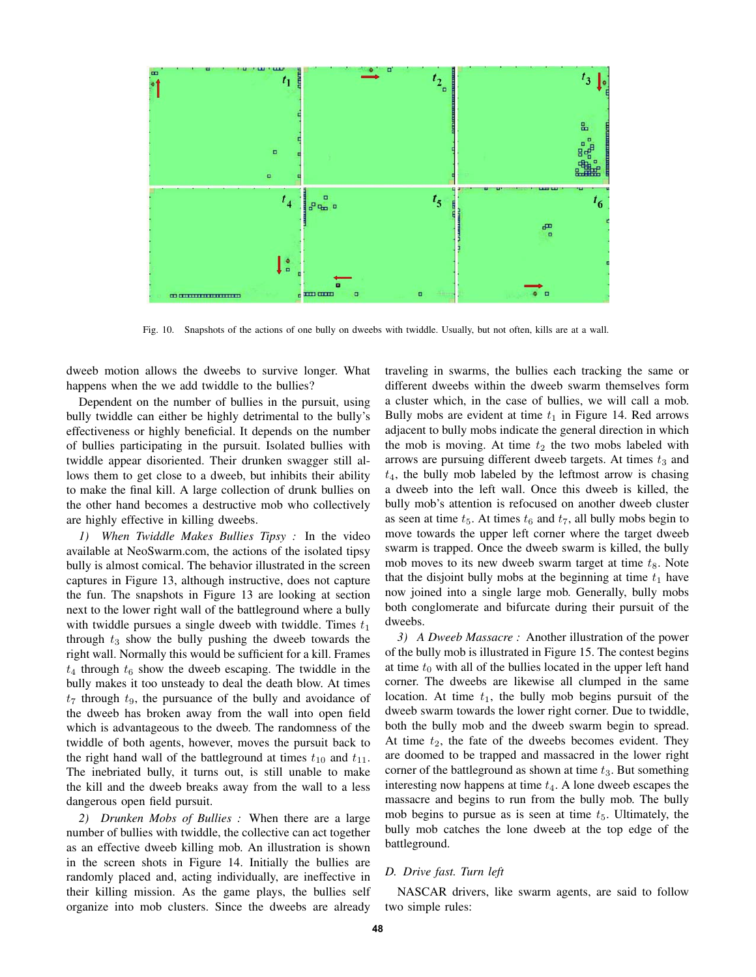

Fig. 10. Snapshots of the actions of one bully on dweebs with twiddle. Usually, but not often, kills are at a wall.

dweeb motion allows the dweebs to survive longer. What happens when the we add twiddle to the bullies?

Dependent on the number of bullies in the pursuit, using bully twiddle can either be highly detrimental to the bully's effectiveness or highly beneficial. It depends on the number of bullies participating in the pursuit. Isolated bullies with twiddle appear disoriented. Their drunken swagger still allows them to get close to a dweeb, but inhibits their ability to make the final kill. A large collection of drunk bullies on the other hand becomes a destructive mob who collectively are highly effective in killing dweebs.

*1) When Twiddle Makes Bullies Tipsy :* In the video available at NeoSwarm.com, the actions of the isolated tipsy bully is almost comical. The behavior illustrated in the screen captures in Figure 13, although instructive, does not capture the fun. The snapshots in Figure 13 are looking at section next to the lower right wall of the battleground where a bully with twiddle pursues a single dweeb with twiddle. Times  $t_1$ through  $t_3$  show the bully pushing the dweeb towards the right wall. Normally this would be sufficient for a kill. Frames  $t_4$  through  $t_6$  show the dweeb escaping. The twiddle in the bully makes it too unsteady to deal the death blow. At times  $t_7$  through  $t_9$ , the pursuance of the bully and avoidance of the dweeb has broken away from the wall into open field which is advantageous to the dweeb. The randomness of the twiddle of both agents, however, moves the pursuit back to the right hand wall of the battleground at times  $t_{10}$  and  $t_{11}$ . The inebriated bully, it turns out, is still unable to make the kill and the dweeb breaks away from the wall to a less dangerous open field pursuit.

*2) Drunken Mobs of Bullies :* When there are a large number of bullies with twiddle, the collective can act together as an effective dweeb killing mob. An illustration is shown in the screen shots in Figure 14. Initially the bullies are randomly placed and, acting individually, are ineffective in their killing mission. As the game plays, the bullies self organize into mob clusters. Since the dweebs are already traveling in swarms, the bullies each tracking the same or different dweebs within the dweeb swarm themselves form a cluster which, in the case of bullies, we will call a mob. Bully mobs are evident at time  $t_1$  in Figure 14. Red arrows adjacent to bully mobs indicate the general direction in which the mob is moving. At time  $t_2$  the two mobs labeled with arrows are pursuing different dweeb targets. At times  $t_3$  and  $t_4$ , the bully mob labeled by the leftmost arrow is chasing a dweeb into the left wall. Once this dweeb is killed, the bully mob's attention is refocused on another dweeb cluster as seen at time  $t_5$ . At times  $t_6$  and  $t_7$ , all bully mobs begin to move towards the upper left corner where the target dweeb swarm is trapped. Once the dweeb swarm is killed, the bully mob moves to its new dweeb swarm target at time  $t_8$ . Note that the disjoint bully mobs at the beginning at time  $t_1$  have now joined into a single large mob. Generally, bully mobs both conglomerate and bifurcate during their pursuit of the dweebs.

*3) A Dweeb Massacre :* Another illustration of the power of the bully mob is illustrated in Figure 15. The contest begins at time  $t_0$  with all of the bullies located in the upper left hand corner. The dweebs are likewise all clumped in the same location. At time  $t_1$ , the bully mob begins pursuit of the dweeb swarm towards the lower right corner. Due to twiddle, both the bully mob and the dweeb swarm begin to spread. At time  $t_2$ , the fate of the dweebs becomes evident. They are doomed to be trapped and massacred in the lower right corner of the battleground as shown at time  $t_3$ . But something interesting now happens at time  $t_4$ . A lone dweep escapes the massacre and begins to run from the bully mob. The bully mob begins to pursue as is seen at time  $t<sub>5</sub>$ . Ultimately, the bully mob catches the lone dweeb at the top edge of the battleground.

## *D. Drive fast. Turn left*

NASCAR drivers, like swarm agents, are said to follow two simple rules: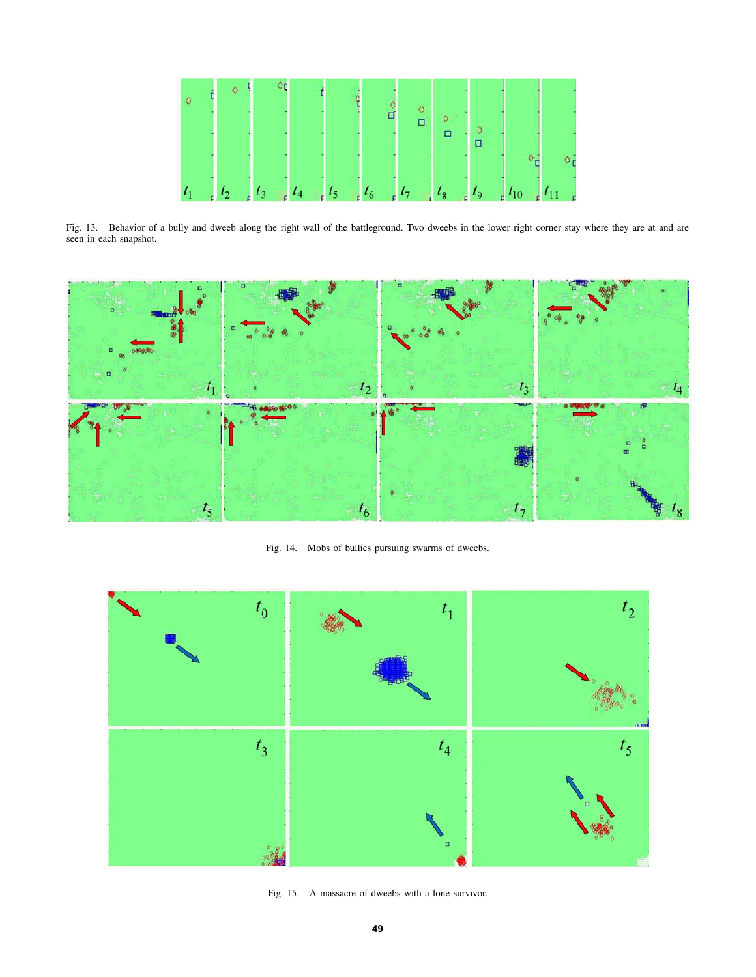

Fig. 13. Behavior of a bully and dweeb along the right wall of the battleground. Two dweebs in the lower right corner stay where they are at and are seen in each snapshot.



Fig. 14. Mobs of bullies pursuing swarms of dweebs.



Fig. 15. A massacre of dweebs with a lone survivor.